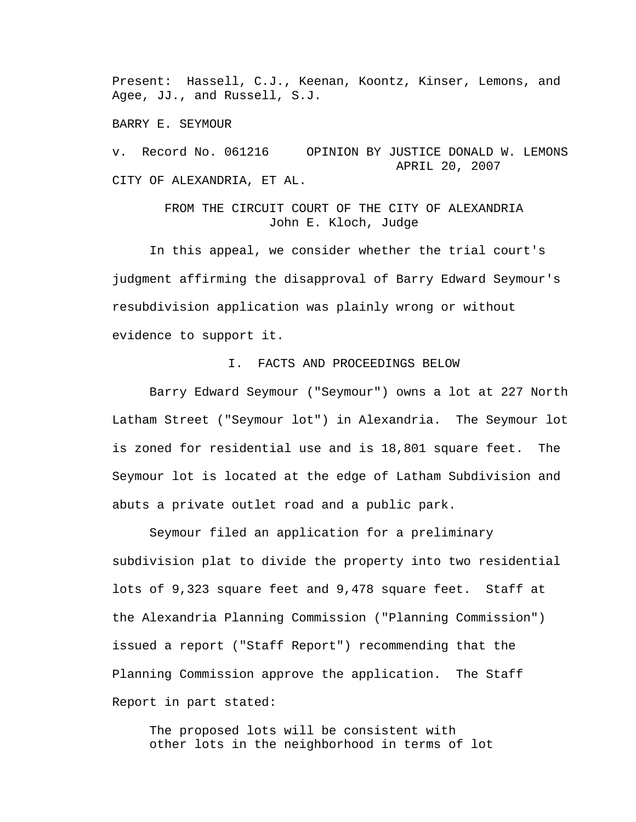Present: Hassell, C.J., Keenan, Koontz, Kinser, Lemons, and Agee, JJ., and Russell, S.J.

BARRY E. SEYMOUR

v. Record No. 061216 OPINION BY JUSTICE DONALD W. LEMONS APRIL 20, 2007 CITY OF ALEXANDRIA, ET AL.

> FROM THE CIRCUIT COURT OF THE CITY OF ALEXANDRIA John E. Kloch, Judge

 In this appeal, we consider whether the trial court's judgment affirming the disapproval of Barry Edward Seymour's resubdivision application was plainly wrong or without evidence to support it.

## I. FACTS AND PROCEEDINGS BELOW

 Barry Edward Seymour ("Seymour") owns a lot at 227 North Latham Street ("Seymour lot") in Alexandria. The Seymour lot is zoned for residential use and is 18,801 square feet. The Seymour lot is located at the edge of Latham Subdivision and abuts a private outlet road and a public park.

 Seymour filed an application for a preliminary subdivision plat to divide the property into two residential lots of 9,323 square feet and 9,478 square feet. Staff at the Alexandria Planning Commission ("Planning Commission") issued a report ("Staff Report") recommending that the Planning Commission approve the application. The Staff Report in part stated:

The proposed lots will be consistent with other lots in the neighborhood in terms of lot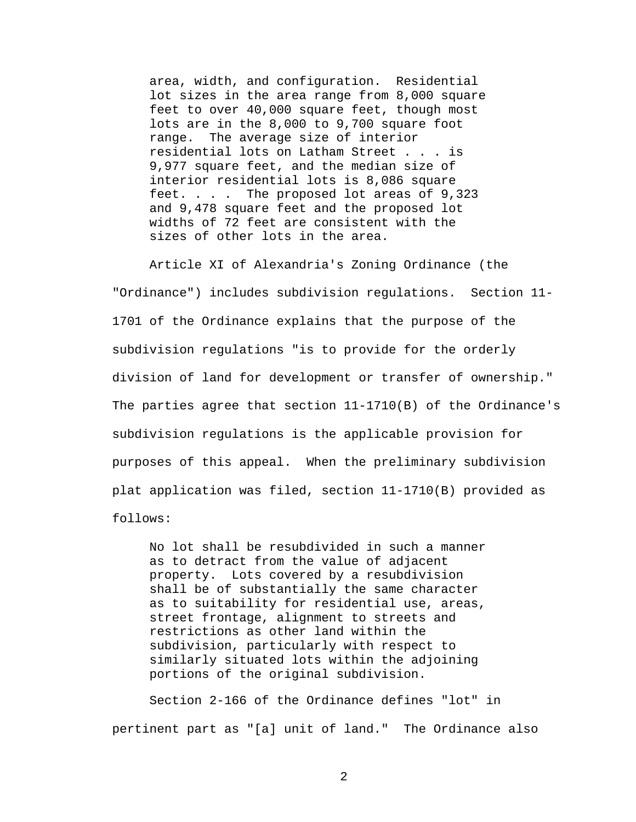area, width, and configuration. Residential lot sizes in the area range from 8,000 square feet to over 40,000 square feet, though most lots are in the 8,000 to 9,700 square foot range. The average size of interior residential lots on Latham Street . . . is 9,977 square feet, and the median size of interior residential lots is 8,086 square feet. . . . The proposed lot areas of 9,323 and 9,478 square feet and the proposed lot widths of 72 feet are consistent with the sizes of other lots in the area.

 Article XI of Alexandria's Zoning Ordinance (the "Ordinance") includes subdivision regulations. Section 11- 1701 of the Ordinance explains that the purpose of the subdivision regulations "is to provide for the orderly division of land for development or transfer of ownership." The parties agree that section 11-1710(B) of the Ordinance's subdivision regulations is the applicable provision for purposes of this appeal. When the preliminary subdivision plat application was filed, section 11-1710(B) provided as follows:

No lot shall be resubdivided in such a manner as to detract from the value of adjacent property. Lots covered by a resubdivision shall be of substantially the same character as to suitability for residential use, areas, street frontage, alignment to streets and restrictions as other land within the subdivision, particularly with respect to similarly situated lots within the adjoining portions of the original subdivision.

 Section 2-166 of the Ordinance defines "lot" in pertinent part as "[a] unit of land." The Ordinance also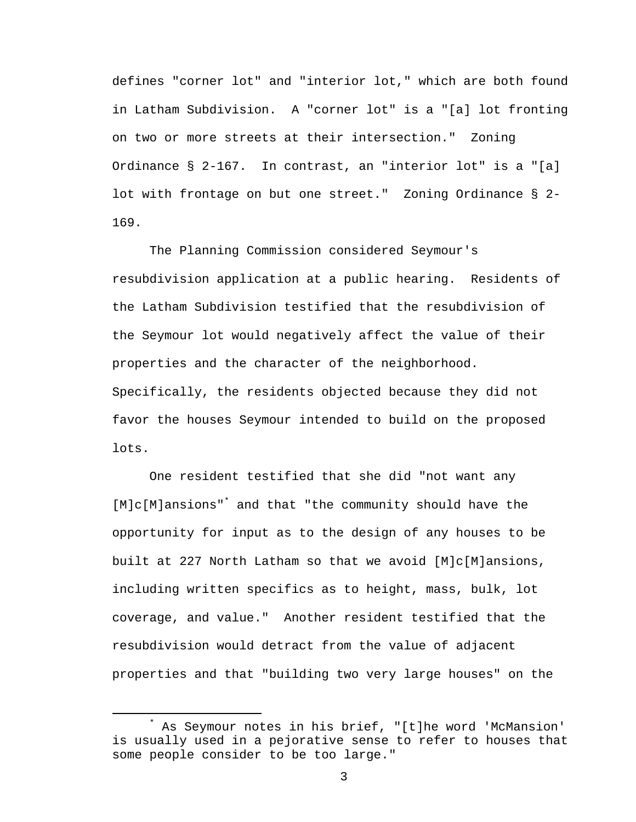defines "corner lot" and "interior lot," which are both found in Latham Subdivision. A "corner lot" is a "[a] lot fronting on two or more streets at their intersection." Zoning Ordinance § 2-167. In contrast, an "interior lot" is a "[a] lot with frontage on but one street." Zoning Ordinance § 2- 169.

 The Planning Commission considered Seymour's resubdivision application at a public hearing. Residents of the Latham Subdivision testified that the resubdivision of the Seymour lot would negatively affect the value of their properties and the character of the neighborhood. Specifically, the residents objected because they did not favor the houses Seymour intended to build on the proposed lots.

 One resident testified that she did "not want any [M]c[M]ansions"\* and that "the community should have the opportunity for input as to the design of any houses to be built at 227 North Latham so that we avoid [M]c[M]ansions, including written specifics as to height, mass, bulk, lot coverage, and value." Another resident testified that the resubdivision would detract from the value of adjacent properties and that "building two very large houses" on the

 $\overline{\phantom{a}}$  As Seymour notes in his brief, "[t]he word 'McMansion' is usually used in a pejorative sense to refer to houses that some people consider to be too large."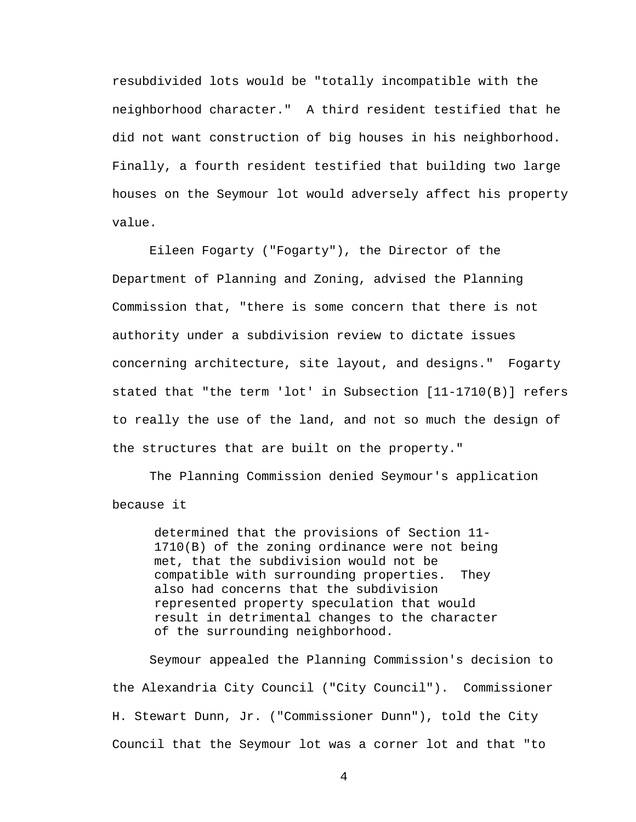resubdivided lots would be "totally incompatible with the neighborhood character." A third resident testified that he did not want construction of big houses in his neighborhood. Finally, a fourth resident testified that building two large houses on the Seymour lot would adversely affect his property value.

 Eileen Fogarty ("Fogarty"), the Director of the Department of Planning and Zoning, advised the Planning Commission that, "there is some concern that there is not authority under a subdivision review to dictate issues concerning architecture, site layout, and designs." Fogarty stated that "the term 'lot' in Subsection [11-1710(B)] refers to really the use of the land, and not so much the design of the structures that are built on the property."

 The Planning Commission denied Seymour's application because it

determined that the provisions of Section 11- 1710(B) of the zoning ordinance were not being met, that the subdivision would not be compatible with surrounding properties. They also had concerns that the subdivision represented property speculation that would result in detrimental changes to the character of the surrounding neighborhood.

 Seymour appealed the Planning Commission's decision to the Alexandria City Council ("City Council"). Commissioner H. Stewart Dunn, Jr. ("Commissioner Dunn"), told the City Council that the Seymour lot was a corner lot and that "to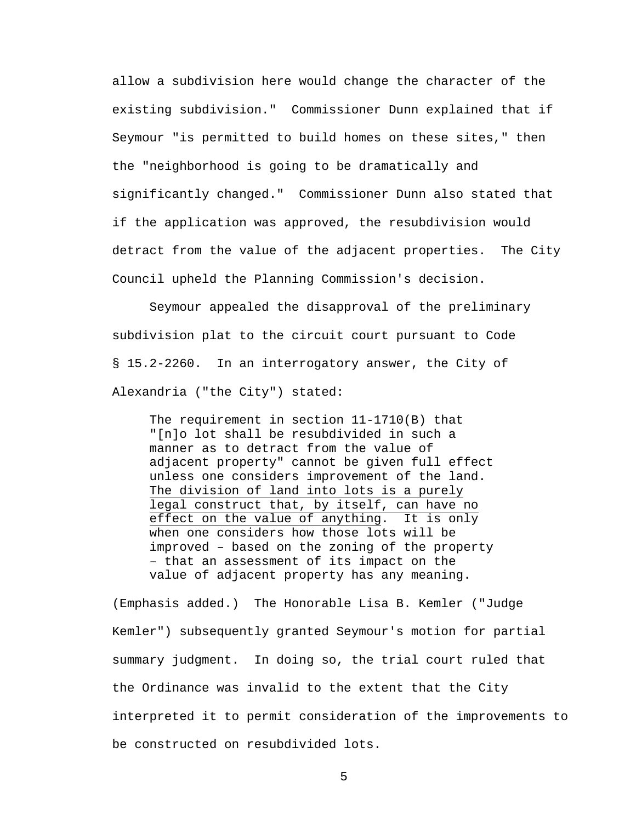allow a subdivision here would change the character of the existing subdivision." Commissioner Dunn explained that if Seymour "is permitted to build homes on these sites," then the "neighborhood is going to be dramatically and significantly changed." Commissioner Dunn also stated that if the application was approved, the resubdivision would detract from the value of the adjacent properties. The City Council upheld the Planning Commission's decision.

 Seymour appealed the disapproval of the preliminary subdivision plat to the circuit court pursuant to Code § 15.2-2260. In an interrogatory answer, the City of Alexandria ("the City") stated:

The requirement in section 11-1710(B) that "[n]o lot shall be resubdivided in such a manner as to detract from the value of adjacent property" cannot be given full effect unless one considers improvement of the land. The division of land into lots is a purely legal construct that, by itself, can have no effect on the value of anything. It is only when one considers how those lots will be improved – based on the zoning of the property – that an assessment of its impact on the value of adjacent property has any meaning.

(Emphasis added.) The Honorable Lisa B. Kemler ("Judge Kemler") subsequently granted Seymour's motion for partial summary judgment. In doing so, the trial court ruled that the Ordinance was invalid to the extent that the City interpreted it to permit consideration of the improvements to be constructed on resubdivided lots.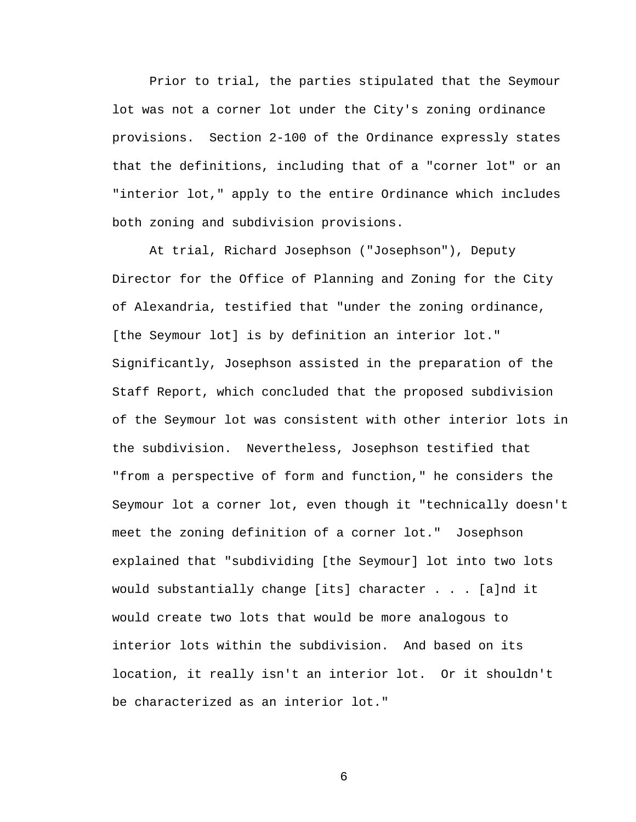Prior to trial, the parties stipulated that the Seymour lot was not a corner lot under the City's zoning ordinance provisions. Section 2-100 of the Ordinance expressly states that the definitions, including that of a "corner lot" or an "interior lot," apply to the entire Ordinance which includes both zoning and subdivision provisions.

 At trial, Richard Josephson ("Josephson"), Deputy Director for the Office of Planning and Zoning for the City of Alexandria, testified that "under the zoning ordinance, [the Seymour lot] is by definition an interior lot." Significantly, Josephson assisted in the preparation of the Staff Report, which concluded that the proposed subdivision of the Seymour lot was consistent with other interior lots in the subdivision. Nevertheless, Josephson testified that "from a perspective of form and function," he considers the Seymour lot a corner lot, even though it "technically doesn't meet the zoning definition of a corner lot." Josephson explained that "subdividing [the Seymour] lot into two lots would substantially change [its] character . . . [a]nd it would create two lots that would be more analogous to interior lots within the subdivision. And based on its location, it really isn't an interior lot. Or it shouldn't be characterized as an interior lot."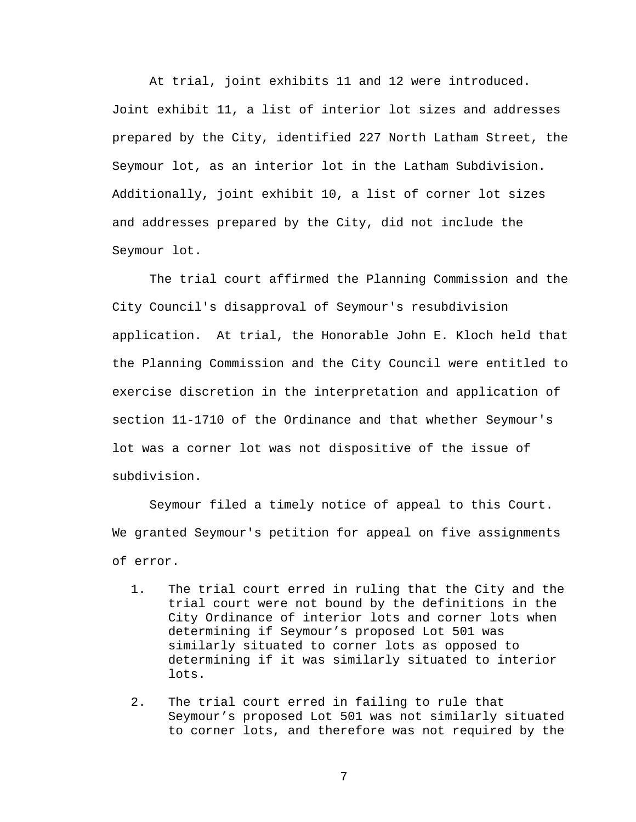At trial, joint exhibits 11 and 12 were introduced. Joint exhibit 11, a list of interior lot sizes and addresses prepared by the City, identified 227 North Latham Street, the Seymour lot, as an interior lot in the Latham Subdivision. Additionally, joint exhibit 10, a list of corner lot sizes and addresses prepared by the City, did not include the Seymour lot.

 The trial court affirmed the Planning Commission and the City Council's disapproval of Seymour's resubdivision application. At trial, the Honorable John E. Kloch held that the Planning Commission and the City Council were entitled to exercise discretion in the interpretation and application of section 11-1710 of the Ordinance and that whether Seymour's lot was a corner lot was not dispositive of the issue of subdivision.

 Seymour filed a timely notice of appeal to this Court. We granted Seymour's petition for appeal on five assignments of error.

- 1. The trial court erred in ruling that the City and the trial court were not bound by the definitions in the City Ordinance of interior lots and corner lots when determining if Seymour's proposed Lot 501 was similarly situated to corner lots as opposed to determining if it was similarly situated to interior lots.
- 2. The trial court erred in failing to rule that Seymour's proposed Lot 501 was not similarly situated to corner lots, and therefore was not required by the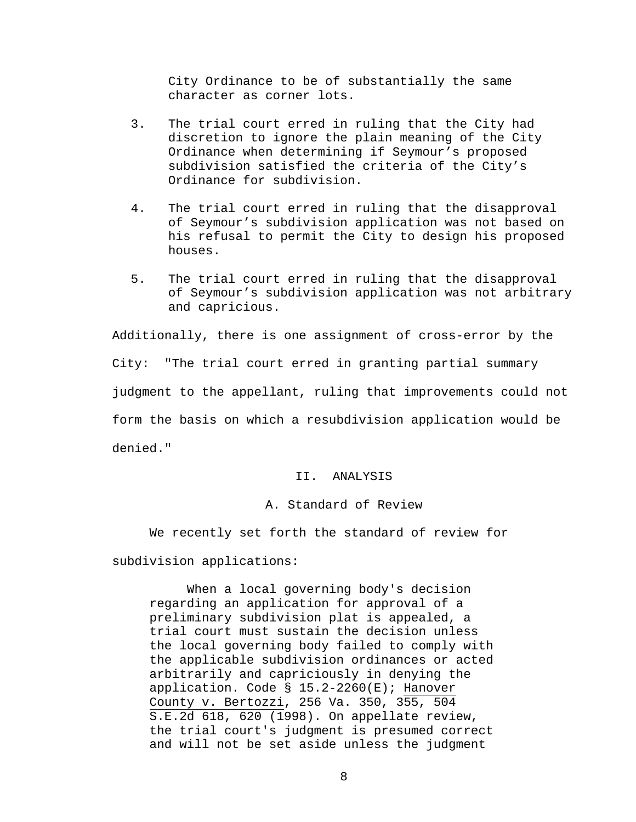City Ordinance to be of substantially the same character as corner lots.

- 3. The trial court erred in ruling that the City had discretion to ignore the plain meaning of the City Ordinance when determining if Seymour's proposed subdivision satisfied the criteria of the City's Ordinance for subdivision.
- 4. The trial court erred in ruling that the disapproval of Seymour's subdivision application was not based on his refusal to permit the City to design his proposed houses.
- 5. The trial court erred in ruling that the disapproval of Seymour's subdivision application was not arbitrary and capricious.

Additionally, there is one assignment of cross-error by the City: "The trial court erred in granting partial summary judgment to the appellant, ruling that improvements could not form the basis on which a resubdivision application would be denied."

## II. ANALYSIS

## A. Standard of Review

We recently set forth the standard of review for subdivision applications:

When a local governing body's decision regarding an application for approval of a preliminary subdivision plat is appealed, a trial court must sustain the decision unless the local governing body failed to comply with the applicable subdivision ordinances or acted arbitrarily and capriciously in denying the application. Code § 15.2-2260(E); Hanover County v. Bertozzi, 256 Va. 350, 355, 504 S.E.2d 618, 620 (1998). On appellate review, the trial court's judgment is presumed correct and will not be set aside unless the judgment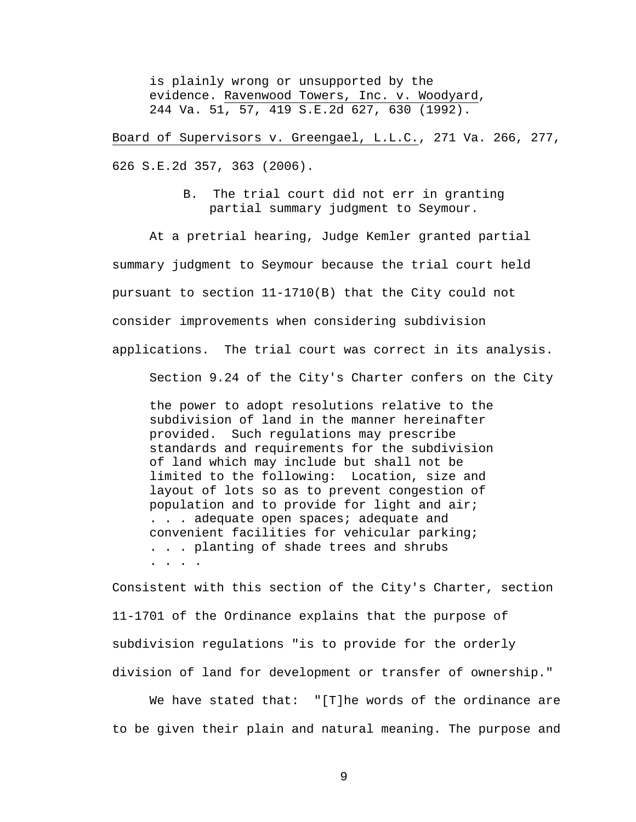is plainly wrong or unsupported by the evidence. Ravenwood Towers, Inc. v. Woodyard, 244 Va. 51, 57, 419 S.E.2d 627, 630 (1992).

Board of Supervisors v. Greengael, L.L.C., 271 Va. 266, 277, 626 S.E.2d 357, 363 (2006).

> B. The trial court did not err in granting partial summary judgment to Seymour.

At a pretrial hearing, Judge Kemler granted partial summary judgment to Seymour because the trial court held pursuant to section 11-1710(B) that the City could not consider improvements when considering subdivision applications. The trial court was correct in its analysis.

Section 9.24 of the City's Charter confers on the City

the power to adopt resolutions relative to the subdivision of land in the manner hereinafter provided. Such regulations may prescribe standards and requirements for the subdivision of land which may include but shall not be limited to the following: Location, size and layout of lots so as to prevent congestion of population and to provide for light and air; . . . adequate open spaces; adequate and convenient facilities for vehicular parking; . . . planting of shade trees and shrubs . . . .

Consistent with this section of the City's Charter, section 11-1701 of the Ordinance explains that the purpose of subdivision regulations "is to provide for the orderly division of land for development or transfer of ownership."

We have stated that: "[T]he words of the ordinance are to be given their plain and natural meaning. The purpose and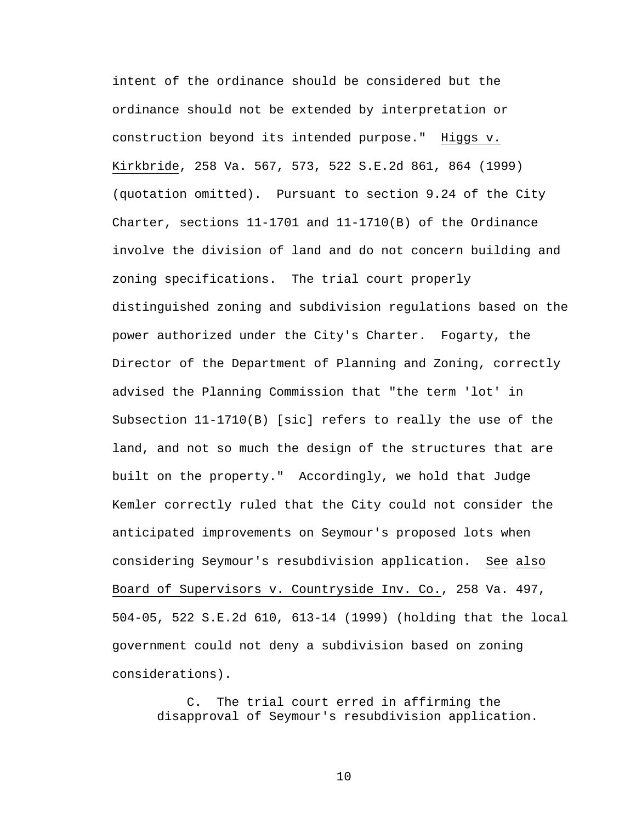intent of the ordinance should be considered but the ordinance should not be extended by interpretation or construction beyond its intended purpose." Higgs v. Kirkbride, 258 Va. 567, 573, 522 S.E.2d 861, 864 (1999) (quotation omitted).Pursuant to section 9.24 of the City Charter, sections 11-1701 and 11-1710(B) of the Ordinance involve the division of land and do not concern building and zoning specifications. The trial court properly distinguished zoning and subdivision regulations based on the power authorized under the City's Charter. Fogarty, the Director of the Department of Planning and Zoning, correctly advised the Planning Commission that "the term 'lot' in Subsection 11-1710(B) [sic] refers to really the use of the land, and not so much the design of the structures that are built on the property." Accordingly, we hold that Judge Kemler correctly ruled that the City could not consider the anticipated improvements on Seymour's proposed lots when considering Seymour's resubdivision application. See also Board of Supervisors v. Countryside Inv. Co., 258 Va. 497, 504-05, 522 S.E.2d 610, 613-14 (1999) (holding that the local government could not deny a subdivision based on zoning considerations).

C. The trial court erred in affirming the disapproval of Seymour's resubdivision application.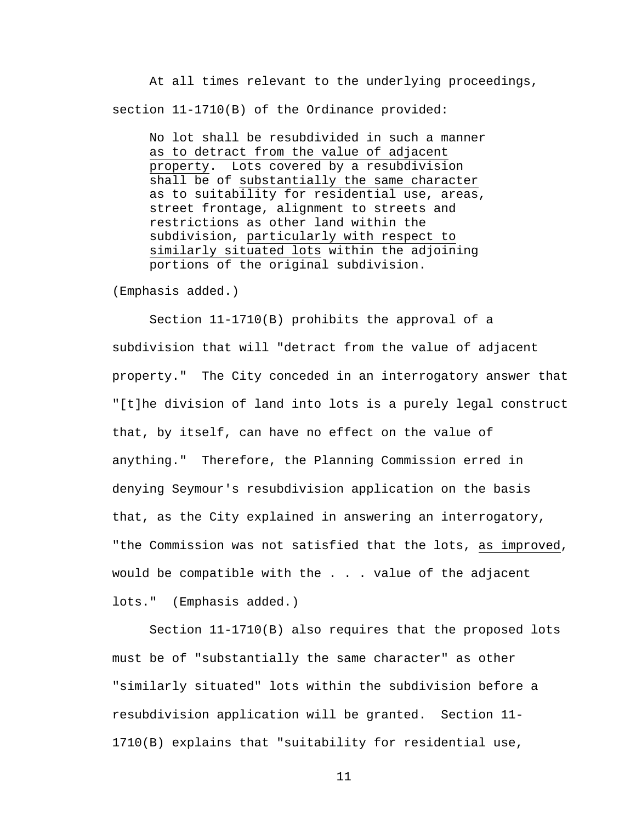At all times relevant to the underlying proceedings, section 11-1710(B) of the Ordinance provided:

No lot shall be resubdivided in such a manner as to detract from the value of adjacent property. Lots covered by a resubdivision shall be of substantially the same character as to suitability for residential use, areas, street frontage, alignment to streets and restrictions as other land within the subdivision, particularly with respect to similarly situated lots within the adjoining portions of the original subdivision.

(Emphasis added.)

 Section 11-1710(B) prohibits the approval of a subdivision that will "detract from the value of adjacent property." The City conceded in an interrogatory answer that "[t]he division of land into lots is a purely legal construct that, by itself, can have no effect on the value of anything." Therefore, the Planning Commission erred in denying Seymour's resubdivision application on the basis that, as the City explained in answering an interrogatory, "the Commission was not satisfied that the lots, as improved, would be compatible with the . . . value of the adjacent lots." (Emphasis added.)

Section 11-1710(B) also requires that the proposed lots must be of "substantially the same character" as other "similarly situated" lots within the subdivision before a resubdivision application will be granted. Section 11- 1710(B) explains that "suitability for residential use,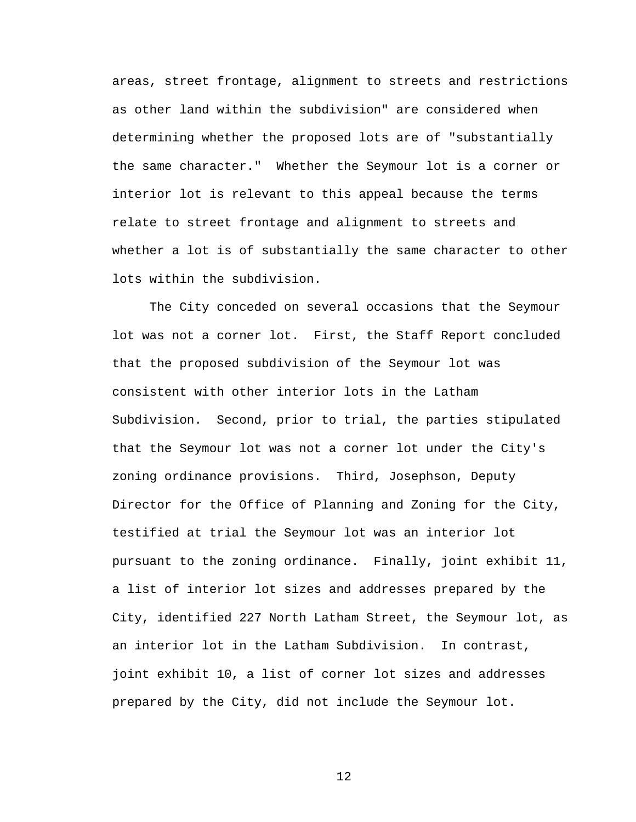areas, street frontage, alignment to streets and restrictions as other land within the subdivision" are considered when determining whether the proposed lots are of "substantially the same character." Whether the Seymour lot is a corner or interior lot is relevant to this appeal because the terms relate to street frontage and alignment to streets and whether a lot is of substantially the same character to other lots within the subdivision.

The City conceded on several occasions that the Seymour lot was not a corner lot. First, the Staff Report concluded that the proposed subdivision of the Seymour lot was consistent with other interior lots in the Latham Subdivision. Second, prior to trial, the parties stipulated that the Seymour lot was not a corner lot under the City's zoning ordinance provisions. Third, Josephson, Deputy Director for the Office of Planning and Zoning for the City, testified at trial the Seymour lot was an interior lot pursuant to the zoning ordinance. Finally, joint exhibit 11, a list of interior lot sizes and addresses prepared by the City, identified 227 North Latham Street, the Seymour lot, as an interior lot in the Latham Subdivision. In contrast, joint exhibit 10, a list of corner lot sizes and addresses prepared by the City, did not include the Seymour lot.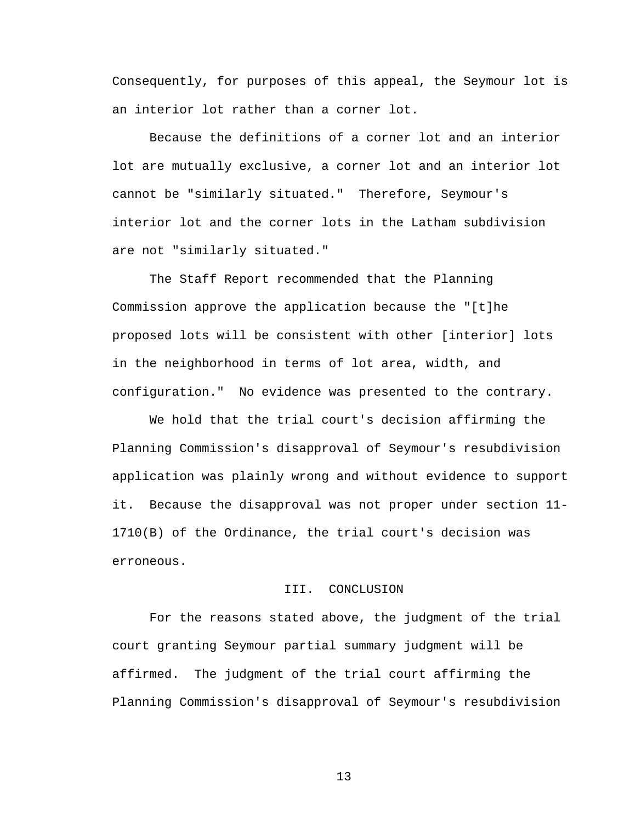Consequently, for purposes of this appeal, the Seymour lot is an interior lot rather than a corner lot.

Because the definitions of a corner lot and an interior lot are mutually exclusive, a corner lot and an interior lot cannot be "similarly situated." Therefore, Seymour's interior lot and the corner lots in the Latham subdivision are not "similarly situated."

 The Staff Report recommended that the Planning Commission approve the application because the "[t]he proposed lots will be consistent with other [interior] lots in the neighborhood in terms of lot area, width, and configuration." No evidence was presented to the contrary.

We hold that the trial court's decision affirming the Planning Commission's disapproval of Seymour's resubdivision application was plainly wrong and without evidence to support it. Because the disapproval was not proper under section 11- 1710(B) of the Ordinance, the trial court's decision was erroneous.

## III. CONCLUSION

 For the reasons stated above, the judgment of the trial court granting Seymour partial summary judgment will be affirmed. The judgment of the trial court affirming the Planning Commission's disapproval of Seymour's resubdivision